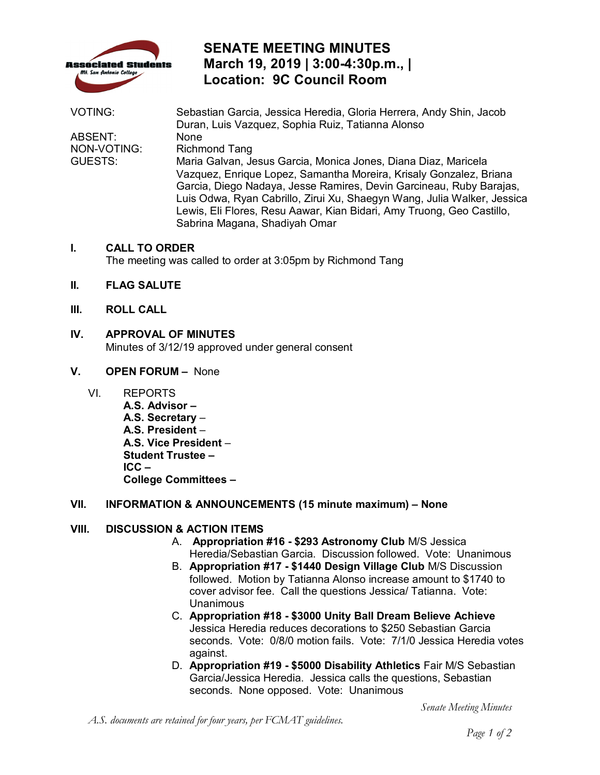

### **SENATE MEETING MINUTES March 19, 2019 | 3:00-4:30p.m., | Location: 9C Council Room**

| <b>VOTING:</b> | Sebastian Garcia, Jessica Heredia, Gloria Herrera, Andy Shin, Jacob     |
|----------------|-------------------------------------------------------------------------|
|                | Duran, Luis Vazquez, Sophia Ruiz, Tatianna Alonso                       |
| ABSENT:        | None                                                                    |
| NON-VOTING:    | <b>Richmond Tang</b>                                                    |
| GUESTS:        | Maria Galvan, Jesus Garcia, Monica Jones, Diana Diaz, Maricela          |
|                | Vazquez, Enrique Lopez, Samantha Moreira, Krisaly Gonzalez, Briana      |
|                | Garcia, Diego Nadaya, Jesse Ramires, Devin Garcineau, Ruby Barajas,     |
|                | Luis Odwa, Ryan Cabrillo, Zirui Xu, Shaegyn Wang, Julia Walker, Jessica |
|                | Lewis, Eli Flores, Resu Aawar, Kian Bidari, Amy Truong, Geo Castillo,   |
|                | Sabrina Magana, Shadiyah Omar                                           |

#### **I. CALL TO ORDER**

The meeting was called to order at 3:05pm by Richmond Tang

- **II. FLAG SALUTE**
- **III. ROLL CALL**
- **IV. APPROVAL OF MINUTES**

Minutes of 3/12/19 approved under general consent

- **V. OPEN FORUM** None
	- VI. REPORTS

 **A.S. President** – **A.S. Vice President** – **Student Trustee -** $ICC -$ **College Committees -A.S. Advisor – A.S. Secretary** –

# **Student Trustee – ICC – College Committees – VII. INFORMATION & ANNOUNCEMENTS (15 minute maximum) – None**

#### **VIII. DISCUSSION & ACTION ITEMS**

- Heredia/Sebastian Garcia. Discussion followed. Vote: Unanimous A. **Appropriation #16 - \$293 Astronomy Club** M/S Jessica
- followed. Motion by Tatianna Alonso increase amount to \$1740 to cover advisor fee. Call the questions Jessica/ Tatianna. Vote: B. **Appropriation #17 - \$1440 Design Village Club** M/S Discussion **Unanimous**
- seconds. Vote: 0/8/0 motion fails. Vote: 7/1/0 Jessica Heredia votes C. **Appropriation #18 - \$3000 Unity Ball Dream Believe Achieve**  Jessica Heredia reduces decorations to \$250 Sebastian Garcia against.
- Garcia/Jessica Heredia. Jessica calls the questions, Sebastian D. **Appropriation #19 - \$5000 Disability Athletics** Fair M/S Sebastian seconds. None opposed. Vote: Unanimous

*Senate Meeting Minutes*